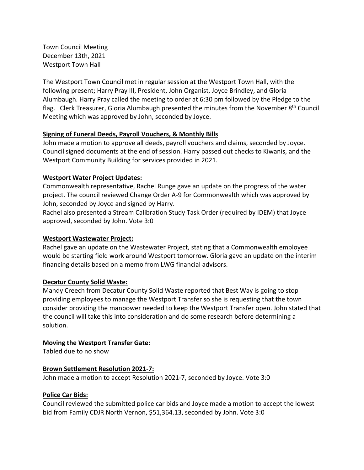Town Council Meeting December 13th, 2021 Westport Town Hall

 The Westport Town Council met in regular session at the Westport Town Hall, with the following present; Harry Pray III, President, John Organist, Joyce Brindley, and Gloria Alumbaugh. Harry Pray called the meeting to order at 6:30 pm followed by the Pledge to the flag. Clerk Treasurer, Gloria Alumbaugh presented the minutes from the November 8<sup>th</sup> Council Meeting which was approved by John, seconded by Joyce.

# **Signing of Funeral Deeds, Payroll Vouchers, & Monthly Bills**

 John made a motion to approve all deeds, payroll vouchers and claims, seconded by Joyce. Council signed documents at the end of session. Harry passed out checks to Kiwanis, and the Westport Community Building for services provided in 2021.

## **Westport Water Project Updates:**

 Commonwealth representative, Rachel Runge gave an update on the progress of the water project. The council reviewed Change Order A‐9 for Commonwealth which was approved by John, seconded by Joyce and signed by Harry.

 Rachel also presented a Stream Calibration Study Task Order (required by IDEM) that Joyce approved, seconded by John. Vote 3:0

## **Westport Wastewater Project:**

 Rachel gave an update on the Wastewater Project, stating that a Commonwealth employee would be starting field work around Westport tomorrow. Gloria gave an update on the interim financing details based on a memo from LWG financial advisors.

## **Decatur County Solid Waste:**

 Mandy Creech from Decatur County Solid Waste reported that Best Way is going to stop providing employees to manage the Westport Transfer so she is requesting that the town consider providing the manpower needed to keep the Westport Transfer open. John stated that the council will take this into consideration and do some research before determining a solution.

# **Moving the Westport Transfer Gate:**

Tabled due to no show

## **Brown Settlement Resolution 2021‐7:**

John made a motion to accept Resolution 2021‐7, seconded by Joyce. Vote 3:0

# **Police Car Bids:**

 Council reviewed the submitted police car bids and Joyce made a motion to accept the lowest bid from Family CDJR North Vernon, \$[51,364.13,](https://51,364.13) seconded by John. Vote 3:0